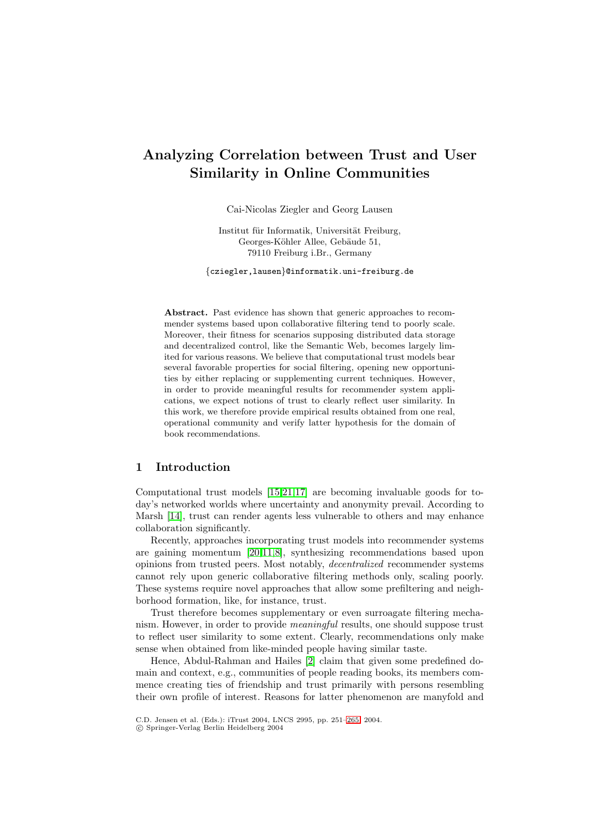# **Analyzing Correlation between Trust and User Similarity in Online Communities**

Cai-Nicolas Ziegler and Georg Lausen

Institut für Informatik, Universität Freiburg, Georges-Köhler Allee, Gebäude 51, 79110 Freiburg i.Br., Germany

{cziegler,lausen}@informatik.uni-freiburg.de

**Abstract.** Past evidence has shown that generic approaches to recommender systems based upon collaborative filtering tend to poorly scale. Moreover, their fitness for scenarios supposing distributed data storage and decentralized control, like the Semantic Web, becomes largely limited for various reasons. We believe that computational trust models bear several favorable properties for social filtering, opening new opportunities by either replacing or supplementing current techniques. However, in order to provide meaningful results for recommender system applications, we expect notions of trust to clearly reflect user similarity. In this work, we therefore provide empirical results obtained from one real, operational community and verify latter hypothesis for the domain of book recommendations.

### **1 Introduction**

Computational trust models [\[15,](#page-13-0)[21,](#page-14-0)[17\]](#page-13-0) are becoming invaluable goods for today's networked worlds where uncertainty and anonymity prevail. According to Marsh [\[14\]](#page-13-0), trust can render agents less vulnerable to others and may enhance collaboration significantly.

Recently, approaches incorporating trust models into recommender systems are gaining momentum [\[20,](#page-14-0)[11,8\]](#page-13-0), synthesizing recommendations based upon opinions from trusted peers. Most notably, *decentralized* recommender systems cannot rely upon generic collaborative filtering methods only, scaling poorly. These systems require novel approaches that allow some prefiltering and neighborhood formation, like, for instance, trust.

Trust therefore becomes supplementary or even surroagate filtering mechanism. However, in order to provide *meaningful* results, one should suppose trust to reflect user similarity to some extent. Clearly, recommendations only make sense when obtained from like-minded people having similar taste.

Hence, Abdul-Rahman and Hailes [\[2\]](#page-13-0) claim that given some predefined domain and context, e.g., communities of people reading books, its members commence creating ties of friendship and trust primarily with persons resembling their own profile of interest. Reasons for latter phenomenon are manyfold and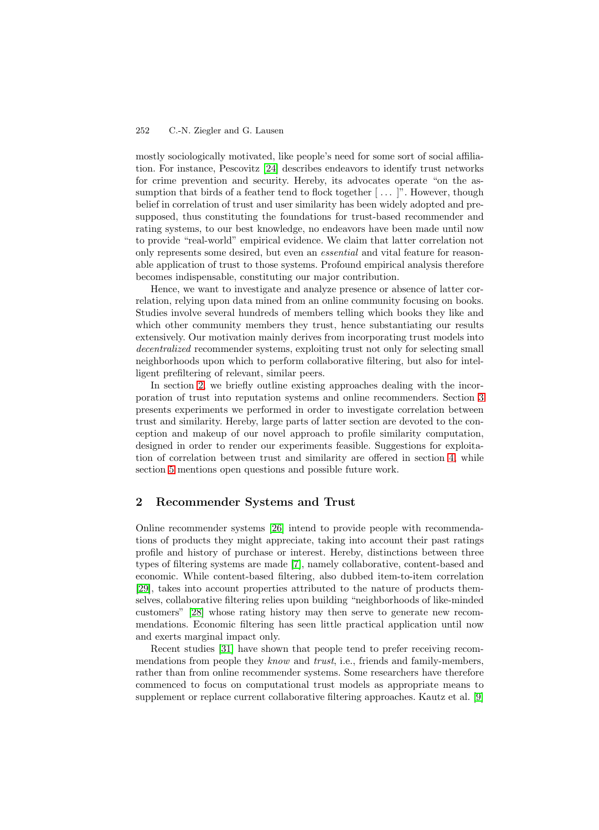mostly sociologically motivated, like people's need for some sort of social affiliation. For instance, Pescovitz [\[24\]](#page-14-0) describes endeavors to identify trust networks for crime prevention and security. Hereby, its advocates operate "on the assumption that birds of a feather tend to flock together  $[\ldots]$ ". However, though belief in correlation of trust and user similarity has been widely adopted and presupposed, thus constituting the foundations for trust-based recommender and rating systems, to our best knowledge, no endeavors have been made until now to provide "real-world" empirical evidence. We claim that latter correlation not only represents some desired, but even an *essential* and vital feature for reasonable application of trust to those systems. Profound empirical analysis therefore becomes indispensable, constituting our major contribution.

Hence, we want to investigate and analyze presence or absence of latter correlation, relying upon data mined from an online community focusing on books. Studies involve several hundreds of members telling which books they like and which other community members they trust, hence substantiating our results extensively. Our motivation mainly derives from incorporating trust models into *decentralized* recommender systems, exploiting trust not only for selecting small neighborhoods upon which to perform collaborative filtering, but also for intelligent prefiltering of relevant, similar peers.

In section 2, we briefly outline existing approaches dealing with the incorporation of trust into reputation systems and online recommenders. Section [3](#page-2-0) presents experiments we performed in order to investigate correlation between trust and similarity. Hereby, large parts of latter section are devoted to the conception and makeup of our novel approach to profile similarity computation, designed in order to render our experiments feasible. Suggestions for exploitation of correlation between trust and similarity are offered in section [4,](#page-11-0) while section [5](#page-12-0) mentions open questions and possible future work.

### **2 Recommender Systems and Trust**

Online recommender systems [\[26\]](#page-14-0) intend to provide people with recommendations of products they might appreciate, taking into account their past ratings profile and history of purchase or interest. Hereby, distinctions between three types of filtering systems are made [\[7\]](#page-13-0), namely collaborative, content-based and economic. While content-based filtering, also dubbed item-to-item correlation [\[29\]](#page-14-0), takes into account properties attributed to the nature of products themselves, collaborative filtering relies upon building "neighborhoods of like-minded customers" [\[28\]](#page-14-0) whose rating history may then serve to generate new recommendations. Economic filtering has seen little practical application until now and exerts marginal impact only.

Recent studies [\[31\]](#page-14-0) have shown that people tend to prefer receiving recommendations from people they *know* and *trust*, i.e., friends and family-members, rather than from online recommender systems. Some researchers have therefore commenced to focus on computational trust models as appropriate means to supplement or replace current collaborative filtering approaches. Kautz et al. [\[9\]](#page-13-0)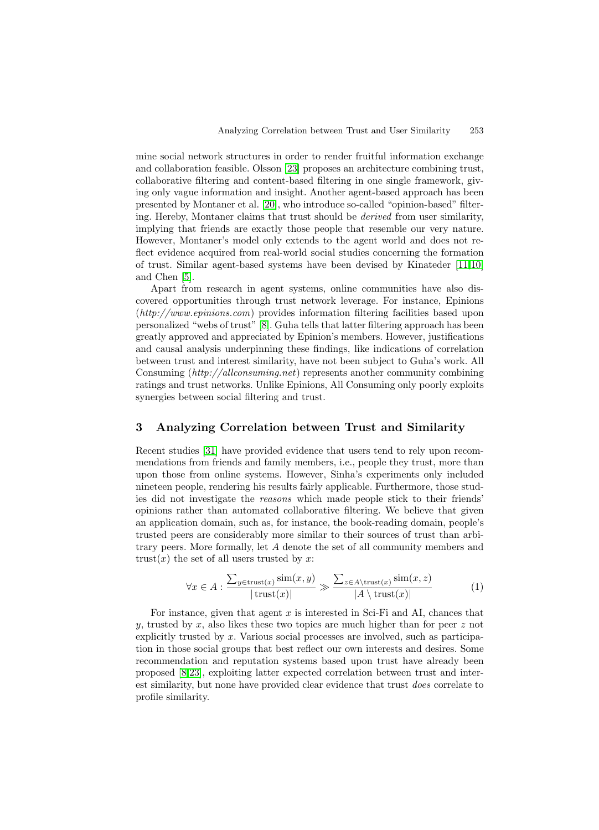<span id="page-2-0"></span>mine social network structures in order to render fruitful information exchange and collaboration feasible. Olsson [\[23\]](#page-14-0) proposes an architecture combining trust, collaborative filtering and content-based filtering in one single framework, giving only vague information and insight. Another agent-based approach has been presented by Montaner et al. [\[20\]](#page-14-0), who introduce so-called "opinion-based" filtering. Hereby, Montaner claims that trust should be *derived* from user similarity, implying that friends are exactly those people that resemble our very nature. However, Montaner's model only extends to the agent world and does not reflect evidence acquired from real-world social studies concerning the formation of trust. Similar agent-based systems have been devised by Kinateder [\[11,10\]](#page-13-0) and Chen [\[5\]](#page-13-0).

Apart from research in agent systems, online communities have also discovered opportunities through trust network leverage. For instance, Epinions (*http://www.epinions.com*) provides information filtering facilities based upon personalized "webs of trust" [\[8\]](#page-13-0). Guha tells that latter filtering approach has been greatly approved and appreciated by Epinion's members. However, justifications and causal analysis underpinning these findings, like indications of correlation between trust and interest similarity, have not been subject to Guha's work. All Consuming (*http://allconsuming.net*) represents another community combining ratings and trust networks. Unlike Epinions, All Consuming only poorly exploits synergies between social filtering and trust.

#### **3 Analyzing Correlation between Trust and Similarity**

Recent studies [\[31\]](#page-14-0) have provided evidence that users tend to rely upon recommendations from friends and family members, i.e., people they trust, more than upon those from online systems. However, Sinha's experiments only included nineteen people, rendering his results fairly applicable. Furthermore, those studies did not investigate the *reasons* which made people stick to their friends' opinions rather than automated collaborative filtering. We believe that given an application domain, such as, for instance, the book-reading domain, people's trusted peers are considerably more similar to their sources of trust than arbitrary peers. More formally, let A denote the set of all community members and trust(x) the set of all users trusted by x:

$$
\forall x \in A : \frac{\sum_{y \in \text{trust}(x)} \text{sim}(x, y)}{|\text{trust}(x)|} \gg \frac{\sum_{z \in A \setminus \text{trust}(x)} \text{sim}(x, z)}{|A \setminus \text{trust}(x)|}
$$
(1)

For instance, given that agent  $x$  is interested in Sci-Fi and AI, chances that y, trusted by x, also likes these two topics are much higher than for peer z not explicitly trusted by x. Various social processes are involved, such as participation in those social groups that best reflect our own interests and desires. Some recommendation and reputation systems based upon trust have already been proposed [\[8](#page-13-0)[,23\]](#page-14-0), exploiting latter expected correlation between trust and interest similarity, but none have provided clear evidence that trust *does* correlate to profile similarity.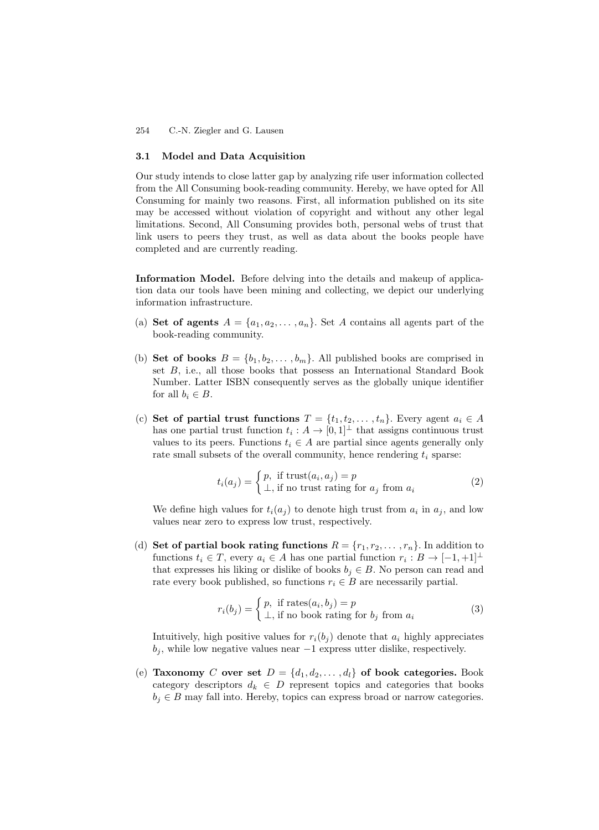#### <span id="page-3-0"></span>**3.1 Model and Data Acquisition**

Our study intends to close latter gap by analyzing rife user information collected from the All Consuming book-reading community. Hereby, we have opted for All Consuming for mainly two reasons. First, all information published on its site may be accessed without violation of copyright and without any other legal limitations. Second, All Consuming provides both, personal webs of trust that link users to peers they trust, as well as data about the books people have completed and are currently reading.

**Information Model.** Before delving into the details and makeup of application data our tools have been mining and collecting, we depict our underlying information infrastructure.

- (a) **Set of agents**  $A = \{a_1, a_2, \ldots, a_n\}$ . Set A contains all agents part of the book-reading community.
- (b) **Set of books**  $B = \{b_1, b_2, \ldots, b_m\}$ . All published books are comprised in set  $B$ , i.e., all those books that possess an International Standard Book Number. Latter ISBN consequently serves as the globally unique identifier for all  $b_i \in B$ .
- (c) **Set of partial trust functions**  $T = \{t_1, t_2, \ldots, t_n\}$ . Every agent  $a_i \in A$ has one partial trust function  $t_i : A \to [0,1]^\perp$  that assigns continuous trust values to its peers. Functions  $t_i \in A$  are partial since agents generally only rate small subsets of the overall community, hence rendering  $t_i$  sparse:

$$
t_i(a_j) = \begin{cases} p, & \text{if trust}(a_i, a_j) = p \\ \perp, & \text{if no trust rating for } a_j \text{ from } a_i \end{cases}
$$
 (2)

We define high values for  $t_i(a_j)$  to denote high trust from  $a_i$  in  $a_j$ , and low values near zero to express low trust, respectively.

(d) **Set of partial book rating functions**  $R = \{r_1, r_2, \ldots, r_n\}$ . In addition to functions  $t_i \in T$ , every  $a_i \in A$  has one partial function  $r_i : B \to [-1, +1]^\perp$ that expresses his liking or dislike of books  $b_j \in B$ . No person can read and rate every book published, so functions  $r_i \in B$  are necessarily partial.

$$
r_i(b_j) = \begin{cases} p, & \text{if rates}(a_i, b_j) = p \\ \perp, & \text{if no book rating for } b_j \text{ from } a_i \end{cases}
$$
 (3)

Intuitively, high positive values for  $r_i(b_j)$  denote that  $a_i$  highly appreciates  $b_j$ , while low negative values near  $-1$  express utter dislike, respectively.

(e) **Taxonomy** C **over set**  $D = \{d_1, d_2, \ldots, d_l\}$  of book categories. Book category descriptors  $d_k \in D$  represent topics and categories that books  $b_j \in B$  may fall into. Hereby, topics can express broad or narrow categories.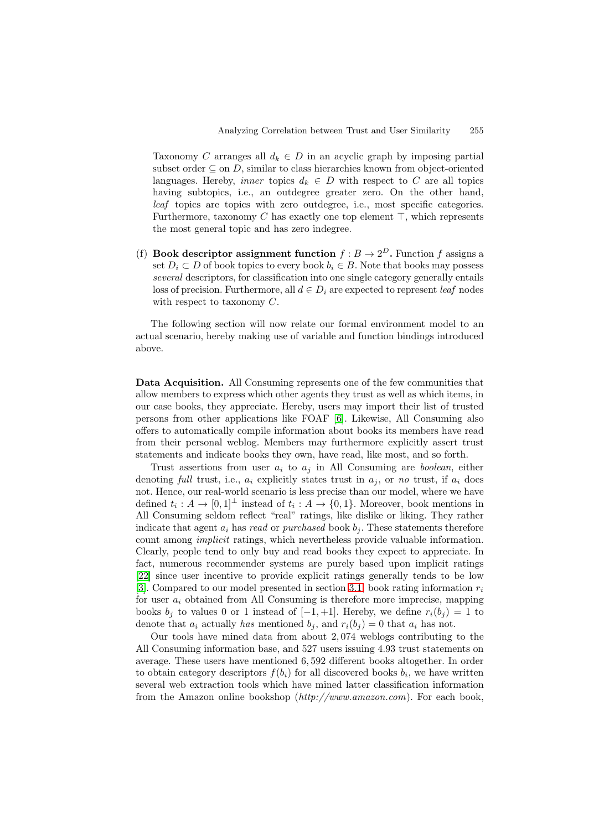Taxonomy C arranges all  $d_k \in D$  in an acyclic graph by imposing partial subset order  $\subseteq$  on D, similar to class hierarchies known from object-oriented languages. Hereby, *inner* topics  $d_k \in D$  with respect to C are all topics having subtopics, i.e., an outdegree greater zero. On the other hand, *leaf* topics are topics with zero outdegree, i.e., most specific categories. Furthermore, taxonomy C has exactly one top element  $\top$ , which represents the most general topic and has zero indegree.

(f) **Book descriptor assignment function**  $f : B \to 2^D$ . Function f assigns a set  $D_i \subset D$  of book topics to every book  $b_i \in B$ . Note that books may possess *several* descriptors, for classification into one single category generally entails loss of precision. Furthermore, all  $d \in D_i$  are expected to represent *leaf* nodes with respect to taxonomy C.

The following section will now relate our formal environment model to an actual scenario, hereby making use of variable and function bindings introduced above.

**Data Acquisition.** All Consuming represents one of the few communities that allow members to express which other agents they trust as well as which items, in our case books, they appreciate. Hereby, users may import their list of trusted persons from other applications like FOAF [\[6\]](#page-13-0). Likewise, All Consuming also offers to automatically compile information about books its members have read from their personal weblog. Members may furthermore explicitly assert trust statements and indicate books they own, have read, like most, and so forth.

Trust assertions from user  $a_i$  to  $a_j$  in All Consuming are *boolean*, either denoting *full* trust, i.e.,  $a_i$  explicitly states trust in  $a_i$ , or *no* trust, if  $a_i$  does not. Hence, our real-world scenario is less precise than our model, where we have defined  $t_i : A \to [0,1]^\perp$  instead of  $t_i : A \to \{0,1\}$ . Moreover, book mentions in All Consuming seldom reflect "real" ratings, like dislike or liking. They rather indicate that agent  $a_i$  has *read* or *purchased* book  $b_i$ . These statements therefore count among *implicit* ratings, which nevertheless provide valuable information. Clearly, people tend to only buy and read books they expect to appreciate. In fact, numerous recommender systems are purely based upon implicit ratings [\[22\]](#page-14-0) since user incentive to provide explicit ratings generally tends to be low [\[3\]](#page-13-0). Compared to our model presented in section [3.1,](#page-3-0) book rating information  $r_i$ for user  $a_i$  obtained from All Consuming is therefore more imprecise, mapping books  $b_j$  to values 0 or 1 instead of [-1, +1]. Hereby, we define  $r_i(b_j) = 1$  to denote that  $a_i$  actually *has* mentioned  $b_j$ , and  $r_i(b_j) = 0$  that  $a_i$  has not.

Our tools have mined data from about 2, 074 weblogs contributing to the All Consuming information base, and 527 users issuing 4.93 trust statements on average. These users have mentioned 6, 592 different books altogether. In order to obtain category descriptors  $f(b_i)$  for all discovered books  $b_i$ , we have written several web extraction tools which have mined latter classification information from the Amazon online bookshop (*http://www.amazon.com*). For each book,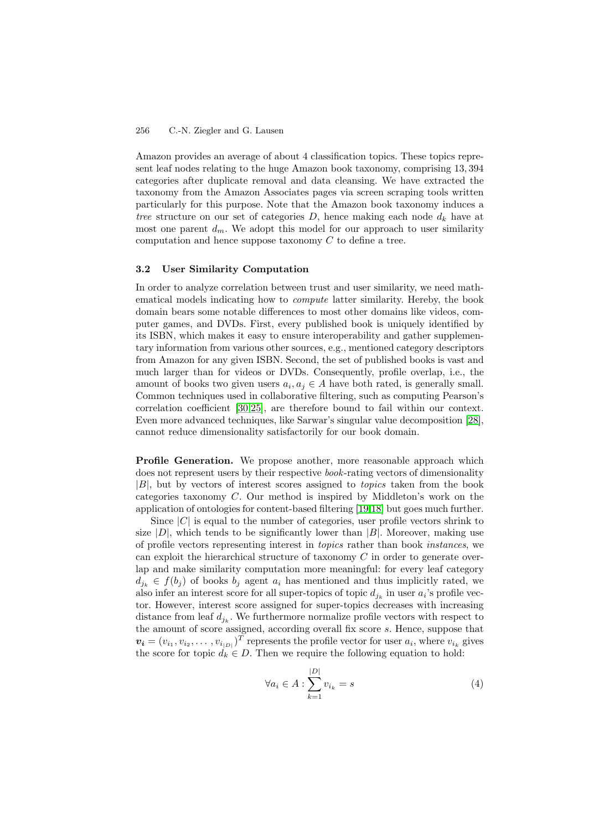Amazon provides an average of about 4 classification topics. These topics represent leaf nodes relating to the huge Amazon book taxonomy, comprising 13, 394 categories after duplicate removal and data cleansing. We have extracted the taxonomy from the Amazon Associates pages via screen scraping tools written particularly for this purpose. Note that the Amazon book taxonomy induces a *tree* structure on our set of categories  $D$ , hence making each node  $d_k$  have at most one parent  $d_m$ . We adopt this model for our approach to user similarity computation and hence suppose taxonomy  $C$  to define a tree.

#### **3.2 User Similarity Computation**

In order to analyze correlation between trust and user similarity, we need mathematical models indicating how to *compute* latter similarity. Hereby, the book domain bears some notable differences to most other domains like videos, computer games, and DVDs. First, every published book is uniquely identified by its ISBN, which makes it easy to ensure interoperability and gather supplementary information from various other sources, e.g., mentioned category descriptors from Amazon for any given ISBN. Second, the set of published books is vast and much larger than for videos or DVDs. Consequently, profile overlap, i.e., the amount of books two given users  $a_i, a_j \in A$  have both rated, is generally small. Common techniques used in collaborative filtering, such as computing Pearson's correlation coefficient [\[30,25\]](#page-14-0), are therefore bound to fail within our context. Even more advanced techniques, like Sarwar's singular value decomposition [\[28\]](#page-14-0), cannot reduce dimensionality satisfactorily for our book domain.

**Profile Generation.** We propose another, more reasonable approach which does not represent users by their respective *book*-rating vectors of dimensionality |B|, but by vectors of interest scores assigned to *topics* taken from the book categories taxonomy C. Our method is inspired by Middleton's work on the application of ontologies for content-based filtering [\[19,18\]](#page-14-0) but goes much further.

Since  $|C|$  is equal to the number of categories, user profile vectors shrink to size  $|D|$ , which tends to be significantly lower than  $|B|$ . Moreover, making use of profile vectors representing interest in *topics* rather than book *instances*, we can exploit the hierarchical structure of taxonomy  $C$  in order to generate overlap and make similarity computation more meaningful: for every leaf category  $d_{jk} \in f(b_j)$  of books  $b_j$  agent  $a_i$  has mentioned and thus implicitly rated, we also infer an interest score for all super-topics of topic  $d_{j_k}$  in user  $a_i$ 's profile vector. However, interest score assigned for super-topics decreases with increasing distance from leaf  $d_{j_k}$ . We furthermore normalize profile vectors with respect to the amount of score assigned, according overall fix score s. Hence, suppose that  $v_i = (v_{i_1}, v_{i_2}, \dots, v_{i_{|D|}})^T$  represents the profile vector for user  $a_i$ , where  $v_{i_k}$  gives the score for topic  $d_k \in D$ . Then we require the following equation to hold:

$$
\forall a_i \in A : \sum_{k=1}^{|D|} v_{i_k} = s \tag{4}
$$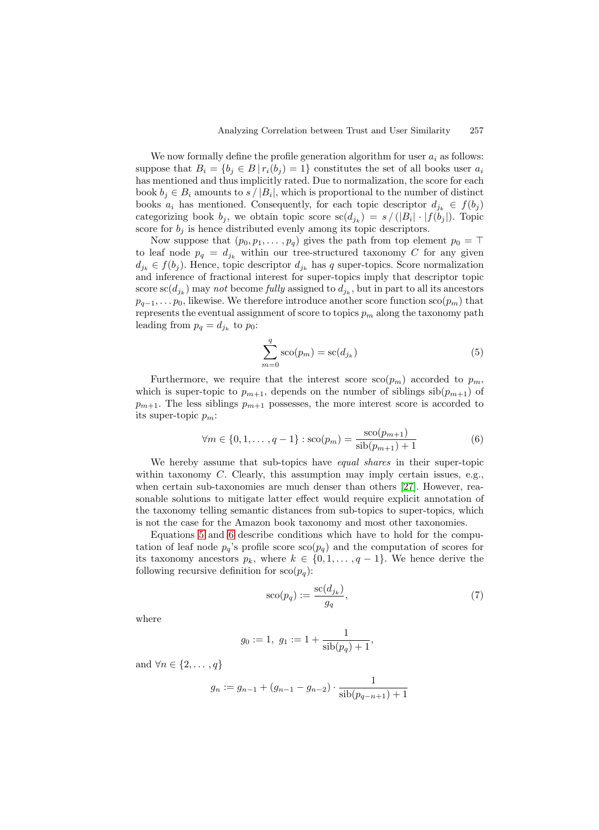<span id="page-6-0"></span>We now formally define the profile generation algorithm for user  $a_i$  as follows: suppose that  $B_i = \{b_j \in B | r_i(b_j) = 1\}$  constitutes the set of all books user  $a_i$ has mentioned and thus implicitly rated. Due to normalization, the score for each book  $b_i \in B_i$  amounts to  $s / |B_i|$ , which is proportional to the number of distinct books  $a_i$  has mentioned. Consequently, for each topic descriptor  $d_{j_k} \in f(b_j)$ categorizing book  $b_j$ , we obtain topic score  $\operatorname{sc}(d_{jk}) = s / (|B_i| \cdot |f(b_j|))$ . Topic score for  $b_i$  is hence distributed evenly among its topic descriptors.

Now suppose that  $(p_0, p_1, \ldots, p_q)$  gives the path from top element  $p_0 = \top$ to leaf node  $p_q = d_{i_k}$  within our tree-structured taxonomy C for any given  $d_{j_k} \in f(b_j)$ . Hence, topic descriptor  $d_{j_k}$  has q super-topics. Score normalization and inference of fractional interest for super-topics imply that descriptor topic score  $\mathrm{sc}(d_{j_k})$  may *not* become *fully* assigned to  $d_{j_k}$ , but in part to all its ancestors  $p_{q-1},\ldots p_0$ , likewise. We therefore introduce another score function sco $(p_m)$  that represents the eventual assignment of score to topics  $p<sub>m</sub>$  along the taxonomy path leading from  $p_q = d_{jk}$  to  $p_0$ :

$$
\sum_{m=0}^{q} \text{sco}(p_m) = \text{sc}(d_{j_k})
$$
\n(5)

Furthermore, we require that the interest score  $\operatorname{sco}(p_m)$  accorded to  $p_m$ , which is super-topic to  $p_{m+1}$ , depends on the number of siblings  $sib(p_{m+1})$  of  $p_{m+1}$ . The less siblings  $p_{m+1}$  possesses, the more interest score is accorded to its super-topic  $p_m$ :

$$
\forall m \in \{0, 1, \dots, q - 1\} : \text{sco}(p_m) = \frac{\text{sco}(p_{m+1})}{\text{sib}(p_{m+1}) + 1} \tag{6}
$$

We hereby assume that sub-topics have *equal shares* in their super-topic within taxonomy  $C$ . Clearly, this assumption may imply certain issues, e.g., when certain sub-taxonomies are much denser than others [\[27\]](#page-14-0). However, reasonable solutions to mitigate latter effect would require explicit annotation of the taxonomy telling semantic distances from sub-topics to super-topics, which is not the case for the Amazon book taxonomy and most other taxonomies.

Equations 5 and 6 describe conditions which have to hold for the computation of leaf node  $p_q$ 's profile score  $\operatorname{sco}(p_q)$  and the computation of scores for its taxonomy ancestors  $p_k$ , where  $k \in \{0, 1, \ldots, q-1\}$ . We hence derive the following recursive definition for  $\operatorname{sco}(p_q)$ :

$$
\operatorname{sco}(p_q) := \frac{\operatorname{sc}(d_{j_k})}{g_q},\tag{7}
$$

where

$$
g_0:=1, \; g_1:=1+\frac{1}{\sinh(p_q)+1},
$$

and  $\forall n \in \{2, \ldots, q\}$ 

$$
g_n := g_{n-1} + (g_{n-1} - g_{n-2}) \cdot \frac{1}{\sin(p_{q-n+1}) + 1}
$$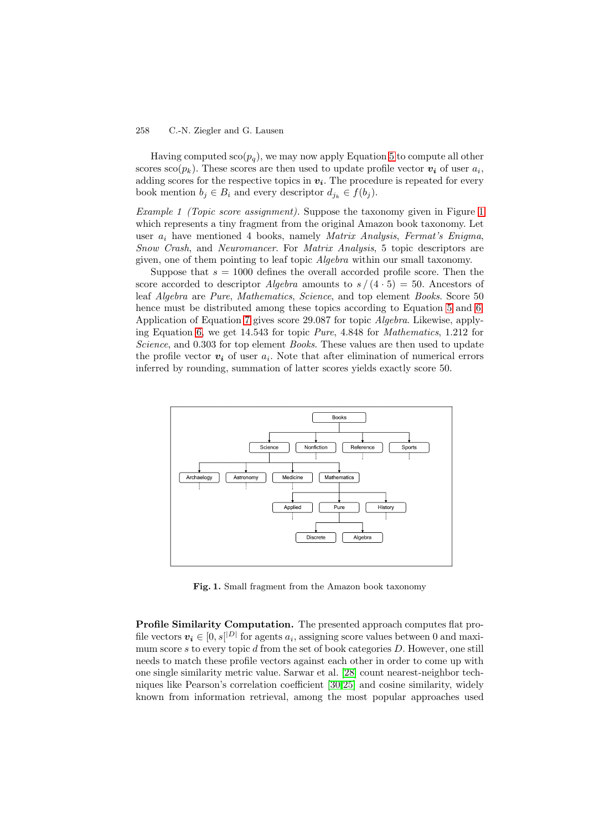<span id="page-7-0"></span>Having computed  $\operatorname{sco}(p_q)$ , we may now apply Equation [5](#page-6-0) to compute all other scores  $\operatorname{sco}(p_k)$ . These scores are then used to update profile vector  $v_i$  of user  $a_i$ , adding scores for the respective topics in  $v_i$ . The procedure is repeated for every book mention  $b_j \in B_i$  and every descriptor  $d_{j_k} \in f(b_j)$ .

*Example 1 (Topic score assignment).* Suppose the taxonomy given in Figure 1 which represents a tiny fragment from the original Amazon book taxonomy. Let user a<sup>i</sup> have mentioned 4 books, namely *Matrix Analysis*, *Fermat's Enigma*, *Snow Crash*, and *Neuromancer*. For *Matrix Analysis*, 5 topic descriptors are given, one of them pointing to leaf topic *Algebra* within our small taxonomy.

Suppose that  $s = 1000$  defines the overall accorded profile score. Then the score accorded to descriptor *Algebra* amounts to  $s/(4 \cdot 5) = 50$ . Ancestors of leaf *Algebra* are *Pure*, *Mathematics*, *Science*, and top element *Books*. Score 50 hence must be distributed among these topics according to Equation [5](#page-6-0) and [6.](#page-6-0) Application of Equation [7](#page-6-0) gives score 29.087 for topic *Algebra*. Likewise, applying Equation [6,](#page-6-0) we get 14.543 for topic *Pure*, 4.848 for *Mathematics*, 1.212 for *Science*, and 0.303 for top element *Books*. These values are then used to update the profile vector  $v_i$  of user  $a_i$ . Note that after elimination of numerical errors inferred by rounding, summation of latter scores yields exactly score 50.



**Fig. 1.** Small fragment from the Amazon book taxonomy

**Profile Similarity Computation.** The presented approach computes flat profile vectors  $v_i \in [0, s[<sup>|D|</sup>]$  for agents  $a_i$ , assigning score values between 0 and maximum score  $s$  to every topic  $d$  from the set of book categories  $D$ . However, one still needs to match these profile vectors against each other in order to come up with one single similarity metric value. Sarwar et al. [\[28\]](#page-14-0) count nearest-neighbor techniques like Pearson's correlation coefficient [\[30,25\]](#page-14-0) and cosine similarity, widely known from information retrieval, among the most popular approaches used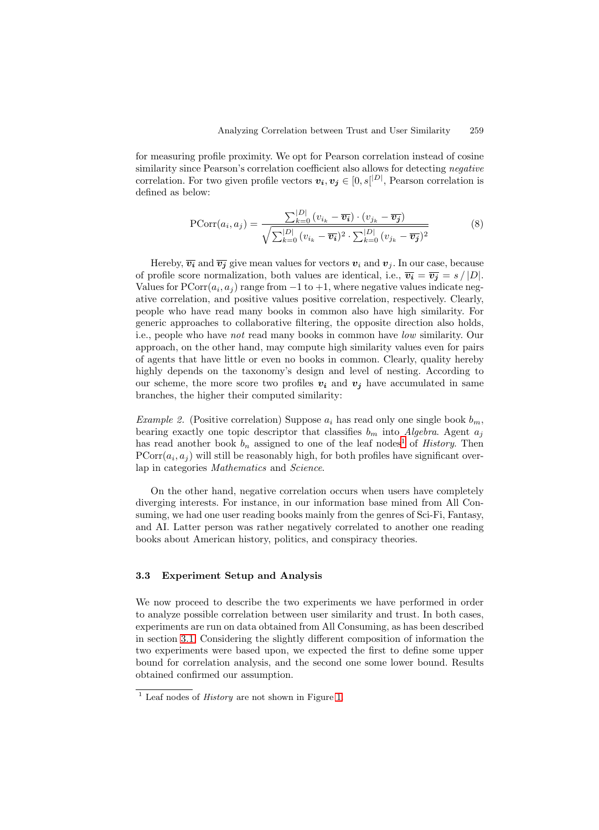for measuring profile proximity. We opt for Pearson correlation instead of cosine similarity since Pearson's correlation coefficient also allows for detecting *negative* correlation. For two given profile vectors  $v_i, v_j \in [0, s[^{|D|}]$ , Pearson correlation is defined as below:

$$
\text{PCorr}(a_i, a_j) = \frac{\sum_{k=0}^{|D|} (v_{i_k} - \overline{v_i}) \cdot (v_{j_k} - \overline{v_j})}{\sqrt{\sum_{k=0}^{|D|} (v_{i_k} - \overline{v_i})^2 \cdot \sum_{k=0}^{|D|} (v_{j_k} - \overline{v_j})^2}}
$$
(8)

Hereby,  $\overline{v_i}$  and  $\overline{v_j}$  give mean values for vectors  $v_i$  and  $v_j$ . In our case, because of profile score normalization, both values are identical, i.e.,  $\overline{v_i} = \overline{v_i} = s / |D|$ . Values for  $PCorr(a_i, a_j)$  range from  $-1$  to  $+1$ , where negative values indicate negative correlation, and positive values positive correlation, respectively. Clearly, people who have read many books in common also have high similarity. For generic approaches to collaborative filtering, the opposite direction also holds, i.e., people who have *not* read many books in common have *low* similarity. Our approach, on the other hand, may compute high similarity values even for pairs of agents that have little or even no books in common. Clearly, quality hereby highly depends on the taxonomy's design and level of nesting. According to our scheme, the more score two profiles  $v_i$  and  $v_j$  have accumulated in same branches, the higher their computed similarity:

*Example 2.* (Positive correlation) Suppose  $a_i$  has read only one single book  $b_m$ , bearing exactly one topic descriptor that classifies  $b_m$  into *Algebra*. Agent  $a_j$ has read another book  $b_n$  assigned to one of the leaf nodes<sup>1</sup> of *History*. Then  $PCorr(a_i, a_j)$  will still be reasonably high, for both profiles have significant overlap in categories *Mathematics* and *Science*.

On the other hand, negative correlation occurs when users have completely diverging interests. For instance, in our information base mined from All Consuming, we had one user reading books mainly from the genres of Sci-Fi, Fantasy, and AI. Latter person was rather negatively correlated to another one reading books about American history, politics, and conspiracy theories.

#### **3.3 Experiment Setup and Analysis**

We now proceed to describe the two experiments we have performed in order to analyze possible correlation between user similarity and trust. In both cases, experiments are run on data obtained from All Consuming, as has been described in section [3.1.](#page-3-0) Considering the slightly different composition of information the two experiments were based upon, we expected the first to define some upper bound for correlation analysis, and the second one some lower bound. Results obtained confirmed our assumption.

Leaf nodes of *History* are not shown in Figure [1.](#page-7-0)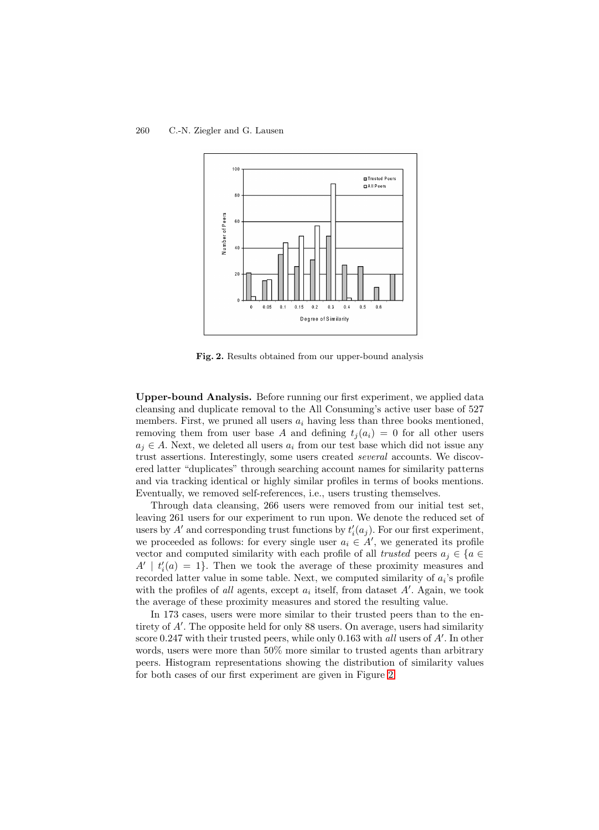

**Fig. 2.** Results obtained from our upper-bound analysis

**Upper-bound Analysis.** Before running our first experiment, we applied data cleansing and duplicate removal to the All Consuming's active user base of 527 members. First, we pruned all users  $a_i$  having less than three books mentioned, removing them from user base A and defining  $t_i(a_i) = 0$  for all other users  $a_j \in A$ . Next, we deleted all users  $a_i$  from our test base which did not issue any trust assertions. Interestingly, some users created *several* accounts. We discovered latter "duplicates" through searching account names for similarity patterns and via tracking identical or highly similar profiles in terms of books mentions. Eventually, we removed self-references, i.e., users trusting themselves.

Through data cleansing, 266 users were removed from our initial test set, leaving 261 users for our experiment to run upon. We denote the reduced set of users by  $A'$  and corresponding trust functions by  $t_i'(a_j)$ . For our first experiment, we proceeded as follows: for every single user  $a_i \in A'$ , we generated its profile vector and computed similarity with each profile of all *trusted* peers  $a_i \in \{a \in$  $A' | t'_i(a) = 1$ . Then we took the average of these proximity measures and recorded latter value in some table. Next, we computed similarity of  $a_i$ 's profile with the profiles of *all* agents, except  $a_i$  itself, from dataset  $A'$ . Again, we took the average of these proximity measures and stored the resulting value.

In 173 cases, users were more similar to their trusted peers than to the entirety of A . The opposite held for only 88 users. On average, users had similarity score 0.247 with their trusted peers, while only 0.163 with *all* users of A . In other words, users were more than 50% more similar to trusted agents than arbitrary peers. Histogram representations showing the distribution of similarity values for both cases of our first experiment are given in Figure 2.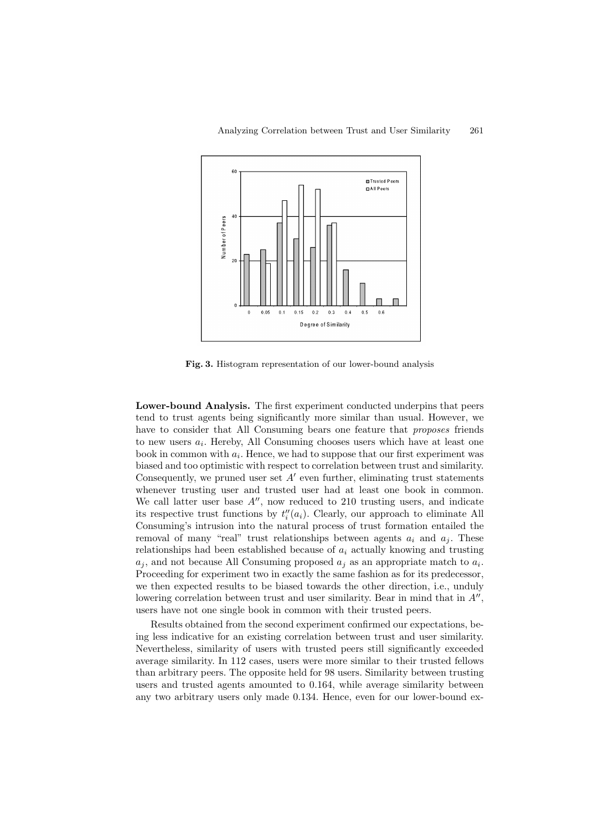

**Fig. 3.** Histogram representation of our lower-bound analysis

**Lower-bound Analysis.** The first experiment conducted underpins that peers tend to trust agents being significantly more similar than usual. However, we have to consider that All Consuming bears one feature that *proposes* friends to new users  $a_i$ . Hereby, All Consuming chooses users which have at least one book in common with  $a_i$ . Hence, we had to suppose that our first experiment was biased and too optimistic with respect to correlation between trust and similarity. Consequently, we pruned user set  $A'$  even further, eliminating trust statements whenever trusting user and trusted user had at least one book in common. We call latter user base  $A''$ , now reduced to 210 trusting users, and indicate its respective trust functions by  $t_i''(a_i)$ . Clearly, our approach to eliminate All Consuming's intrusion into the natural process of trust formation entailed the removal of many "real" trust relationships between agents  $a_i$  and  $a_j$ . These relationships had been established because of  $a_i$  actually knowing and trusting  $a_i$ , and not because All Consuming proposed  $a_i$  as an appropriate match to  $a_i$ . Proceeding for experiment two in exactly the same fashion as for its predecessor, we then expected results to be biased towards the other direction, i.e., unduly lowering correlation between trust and user similarity. Bear in mind that in  $A''$ , users have not one single book in common with their trusted peers.

Results obtained from the second experiment confirmed our expectations, being less indicative for an existing correlation between trust and user similarity. Nevertheless, similarity of users with trusted peers still significantly exceeded average similarity. In 112 cases, users were more similar to their trusted fellows than arbitrary peers. The opposite held for 98 users. Similarity between trusting users and trusted agents amounted to 0.164, while average similarity between any two arbitrary users only made 0.134. Hence, even for our lower-bound ex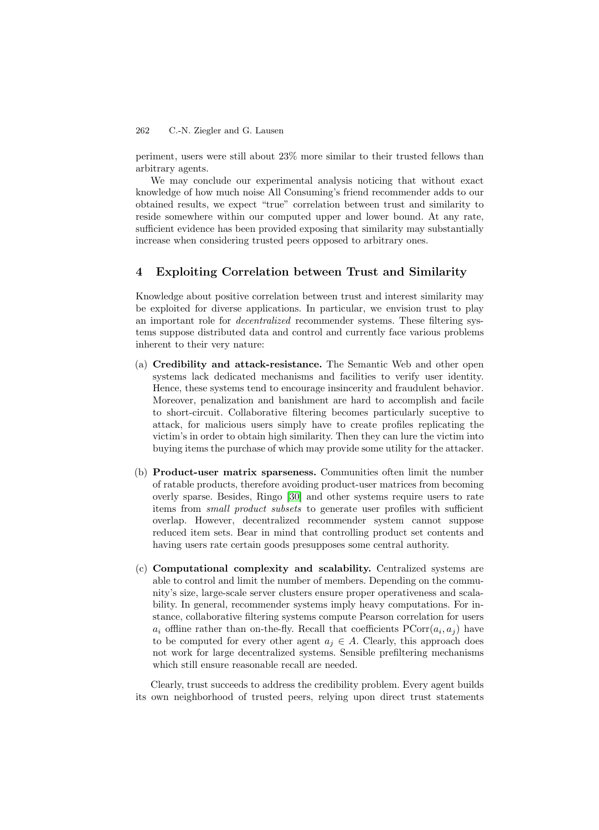<span id="page-11-0"></span>periment, users were still about 23% more similar to their trusted fellows than arbitrary agents.

We may conclude our experimental analysis noticing that without exact knowledge of how much noise All Consuming's friend recommender adds to our obtained results, we expect "true" correlation between trust and similarity to reside somewhere within our computed upper and lower bound. At any rate, sufficient evidence has been provided exposing that similarity may substantially increase when considering trusted peers opposed to arbitrary ones.

## **4 Exploiting Correlation between Trust and Similarity**

Knowledge about positive correlation between trust and interest similarity may be exploited for diverse applications. In particular, we envision trust to play an important role for *decentralized* recommender systems. These filtering systems suppose distributed data and control and currently face various problems inherent to their very nature:

- (a) **Credibility and attack-resistance.** The Semantic Web and other open systems lack dedicated mechanisms and facilities to verify user identity. Hence, these systems tend to encourage insincerity and fraudulent behavior. Moreover, penalization and banishment are hard to accomplish and facile to short-circuit. Collaborative filtering becomes particularly suceptive to attack, for malicious users simply have to create profiles replicating the victim's in order to obtain high similarity. Then they can lure the victim into buying items the purchase of which may provide some utility for the attacker.
- (b) **Product-user matrix sparseness.** Communities often limit the number of ratable products, therefore avoiding product-user matrices from becoming overly sparse. Besides, Ringo [\[30\]](#page-14-0) and other systems require users to rate items from *small product subsets* to generate user profiles with sufficient overlap. However, decentralized recommender system cannot suppose reduced item sets. Bear in mind that controlling product set contents and having users rate certain goods presupposes some central authority.
- (c) **Computational complexity and scalability.** Centralized systems are able to control and limit the number of members. Depending on the community's size, large-scale server clusters ensure proper operativeness and scalability. In general, recommender systems imply heavy computations. For instance, collaborative filtering systems compute Pearson correlation for users  $a_i$  offline rather than on-the-fly. Recall that coefficients  $PCorr(a_i, a_i)$  have to be computed for every other agent  $a_i \in A$ . Clearly, this approach does not work for large decentralized systems. Sensible prefiltering mechanisms which still ensure reasonable recall are needed.

Clearly, trust succeeds to address the credibility problem. Every agent builds its own neighborhood of trusted peers, relying upon direct trust statements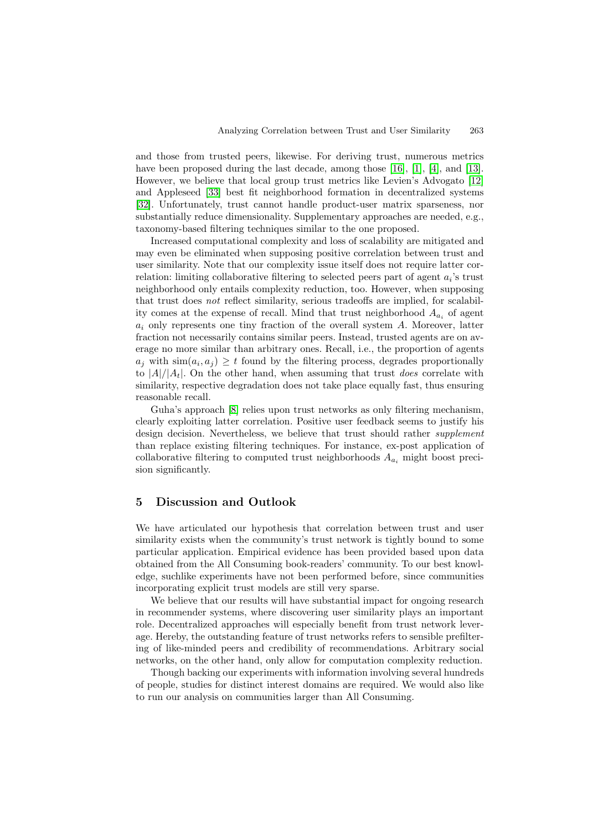<span id="page-12-0"></span>and those from trusted peers, likewise. For deriving trust, numerous metrics have been proposed during the last decade, among those [\[16\]](#page-13-0), [\[1\]](#page-13-0), [\[4\]](#page-13-0), and [\[13\]](#page-13-0). However, we believe that local group trust metrics like Levien's Advogato [\[12\]](#page-13-0) and Appleseed [\[33\]](#page-14-0) best fit neighborhood formation in decentralized systems [\[32\]](#page-14-0). Unfortunately, trust cannot handle product-user matrix sparseness, nor substantially reduce dimensionality. Supplementary approaches are needed, e.g., taxonomy-based filtering techniques similar to the one proposed.

Increased computational complexity and loss of scalability are mitigated and may even be eliminated when supposing positive correlation between trust and user similarity. Note that our complexity issue itself does not require latter correlation: limiting collaborative filtering to selected peers part of agent  $a_i$ 's trust neighborhood only entails complexity reduction, too. However, when supposing that trust does *not* reflect similarity, serious tradeoffs are implied, for scalability comes at the expense of recall. Mind that trust neighborhood  $A_{a_i}$  of agent  $a_i$  only represents one tiny fraction of the overall system  $A$ . Moreover, latter fraction not necessarily contains similar peers. Instead, trusted agents are on average no more similar than arbitrary ones. Recall, i.e., the proportion of agents  $a_i$  with  $\sin(a_i, a_i) \geq t$  found by the filtering process, degrades proportionally to  $|A|/|A_t|$ . On the other hand, when assuming that trust *does* correlate with similarity, respective degradation does not take place equally fast, thus ensuring reasonable recall.

Guha's approach [\[8\]](#page-13-0) relies upon trust networks as only filtering mechanism, clearly exploiting latter correlation. Positive user feedback seems to justify his design decision. Nevertheless, we believe that trust should rather *supplement* than replace existing filtering techniques. For instance, ex-post application of collaborative filtering to computed trust neighborhoods  $A_{a_i}$  might boost precision significantly.

### **5 Discussion and Outlook**

We have articulated our hypothesis that correlation between trust and user similarity exists when the community's trust network is tightly bound to some particular application. Empirical evidence has been provided based upon data obtained from the All Consuming book-readers' community. To our best knowledge, suchlike experiments have not been performed before, since communities incorporating explicit trust models are still very sparse.

We believe that our results will have substantial impact for ongoing research in recommender systems, where discovering user similarity plays an important role. Decentralized approaches will especially benefit from trust network leverage. Hereby, the outstanding feature of trust networks refers to sensible prefiltering of like-minded peers and credibility of recommendations. Arbitrary social networks, on the other hand, only allow for computation complexity reduction.

Though backing our experiments with information involving several hundreds of people, studies for distinct interest domains are required. We would also like to run our analysis on communities larger than All Consuming.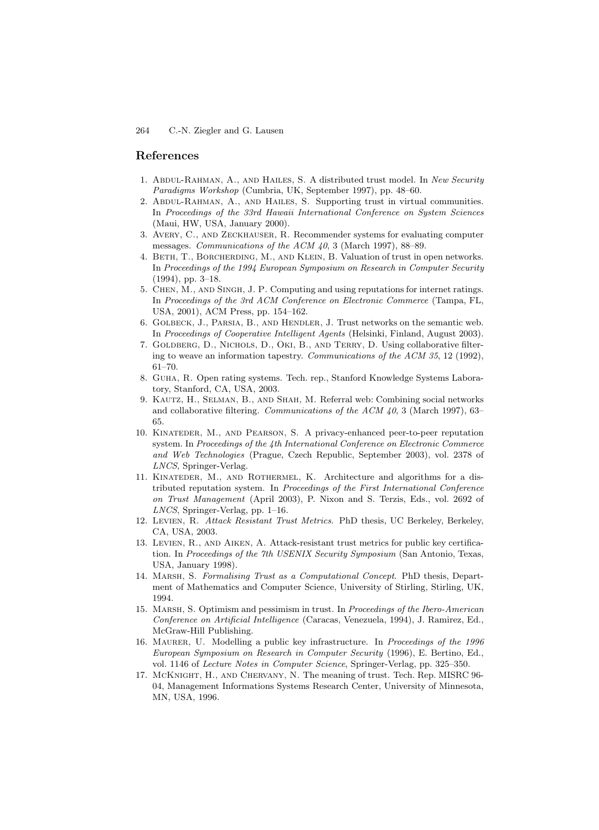### <span id="page-13-0"></span>**References**

- 1. Abdul-Rahman, A., and Hailes, S. A distributed trust model. In New Security Paradigms Workshop (Cumbria, UK, September 1997), pp. 48–60.
- 2. Abdul-Rahman, A., and Hailes, S. Supporting trust in virtual communities. In Proceedings of the 33rd Hawaii International Conference on System Sciences (Maui, HW, USA, January 2000).
- 3. Avery, C., and Zeckhauser, R. Recommender systems for evaluating computer messages. Communications of the ACM 40, 3 (March 1997), 88–89.
- 4. BETH, T., BORCHERDING, M., AND KLEIN, B. Valuation of trust in open networks. In Proceedings of the 1994 European Symposium on Research in Computer Security (1994), pp. 3–18.
- 5. Chen, M., and Singh, J. P. Computing and using reputations for internet ratings. In Proceedings of the 3rd ACM Conference on Electronic Commerce (Tampa, FL, USA, 2001), ACM Press, pp. 154–162.
- 6. Golbeck, J., Parsia, B., and Hendler, J. Trust networks on the semantic web. In Proceedings of Cooperative Intelligent Agents (Helsinki, Finland, August 2003).
- 7. Goldberg, D., Nichols, D., Oki, B., and Terry, D. Using collaborative filtering to weave an information tapestry. Communications of the ACM 35, 12 (1992), 61–70.
- 8. Guha, R. Open rating systems. Tech. rep., Stanford Knowledge Systems Laboratory, Stanford, CA, USA, 2003.
- 9. Kautz, H., Selman, B., and Shah, M. Referral web: Combining social networks and collaborative filtering. Communications of the ACM 40, 3 (March 1997), 63– 65.
- 10. Kinateder, M., and Pearson, S. A privacy-enhanced peer-to-peer reputation system. In Proceedings of the 4th International Conference on Electronic Commerce and Web Technologies (Prague, Czech Republic, September 2003), vol. 2378 of LNCS, Springer-Verlag.
- 11. Kinateder, M., and Rothermel, K. Architecture and algorithms for a distributed reputation system. In Proceedings of the First International Conference on Trust Management (April 2003), P. Nixon and S. Terzis, Eds., vol. 2692 of LNCS, Springer-Verlag, pp. 1–16.
- 12. LEVIEN, R. Attack Resistant Trust Metrics. PhD thesis, UC Berkeley, Berkeley, CA, USA, 2003.
- 13. Levien, R., and Aiken, A. Attack-resistant trust metrics for public key certification. In Proceedings of the 7th USENIX Security Symposium (San Antonio, Texas, USA, January 1998).
- 14. Marsh, S. Formalising Trust as a Computational Concept. PhD thesis, Department of Mathematics and Computer Science, University of Stirling, Stirling, UK, 1994.
- 15. Marsh, S. Optimism and pessimism in trust. In Proceedings of the Ibero-American Conference on Artificial Intelligence (Caracas, Venezuela, 1994), J. Ramirez, Ed., McGraw-Hill Publishing.
- 16. Maurer, U. Modelling a public key infrastructure. In Proceedings of the 1996 European Symposium on Research in Computer Security (1996), E. Bertino, Ed., vol. 1146 of Lecture Notes in Computer Science, Springer-Verlag, pp. 325–350.
- 17. McKnight, H., and Chervany, N. The meaning of trust. Tech. Rep. MISRC 96- 04, Management Informations Systems Research Center, University of Minnesota, MN, USA, 1996.